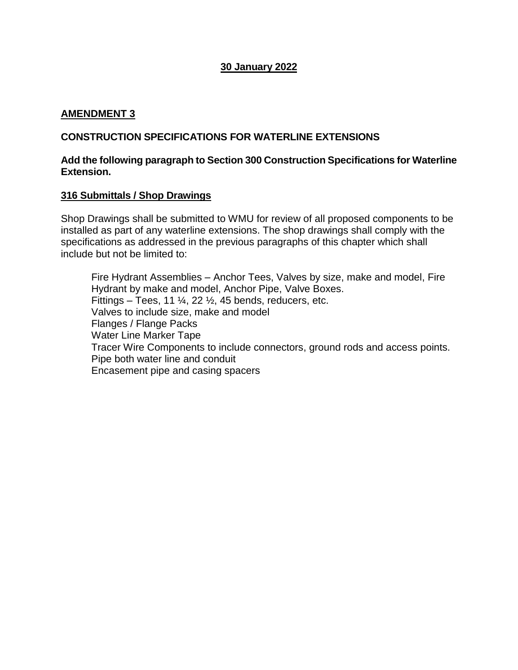# **30 January 2022**

### **AMENDMENT 3**

## **CONSTRUCTION SPECIFICATIONS FOR WATERLINE EXTENSIONS**

#### **Add the following paragraph to Section 300 Construction Specifications for Waterline Extension.**

#### **316 Submittals / Shop Drawings**

Shop Drawings shall be submitted to WMU for review of all proposed components to be installed as part of any waterline extensions. The shop drawings shall comply with the specifications as addressed in the previous paragraphs of this chapter which shall include but not be limited to:

Fire Hydrant Assemblies – Anchor Tees, Valves by size, make and model, Fire Hydrant by make and model, Anchor Pipe, Valve Boxes. Fittings – Tees, 11  $\frac{1}{4}$ , 22  $\frac{1}{2}$ , 45 bends, reducers, etc. Valves to include size, make and model Flanges / Flange Packs Water Line Marker Tape Tracer Wire Components to include connectors, ground rods and access points. Pipe both water line and conduit Encasement pipe and casing spacers